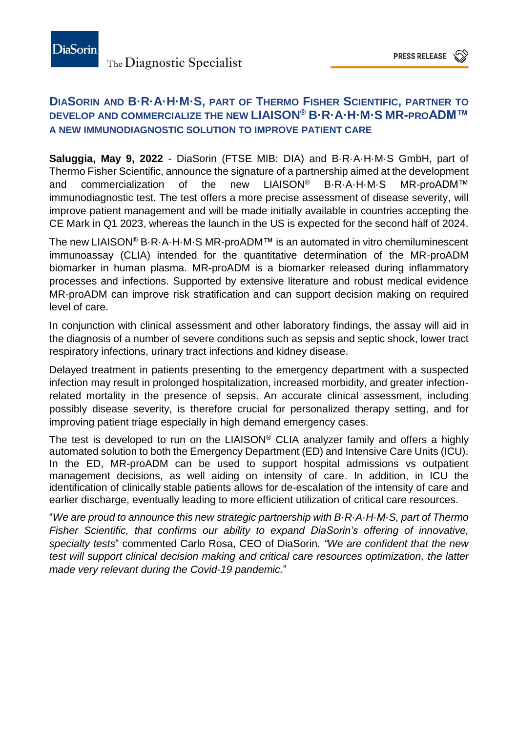## **DIASORIN AND B·R·A·H·M·S, PART OF THERMO FISHER SCIENTIFIC, PARTNER TO DEVELOP AND COMMERCIALIZE THE NEW LIAISON® B·R·A·H·M·S MR-PROADM™ A NEW IMMUNODIAGNOSTIC SOLUTION TO IMPROVE PATIENT CARE**

**Saluggia, May 9, 2022** - DiaSorin (FTSE MIB: DIA) and B·R·A·H·M·S GmbH, part of Thermo Fisher Scientific, announce the signature of a partnership aimed at the development and commercialization of the new LIAISON® B·R·A·H·M·S MR-proADM™ immunodiagnostic test. The test offers a more precise assessment of disease severity, will improve patient management and will be made initially available in countries accepting the CE Mark in Q1 2023, whereas the launch in the US is expected for the second half of 2024.

The new LIAISON® B·R·A·H·M·S MR-proADM™ is an automated in vitro chemiluminescent immunoassay (CLIA) intended for the quantitative determination of the MR-proADM biomarker in human plasma. MR-proADM is a biomarker released during inflammatory processes and infections. Supported by extensive literature and robust medical evidence MR-proADM can improve risk stratification and can support decision making on required level of care.

In conjunction with clinical assessment and other laboratory findings, the assay will aid in the diagnosis of a number of severe conditions such as sepsis and septic shock, lower tract respiratory infections, urinary tract infections and kidney disease.

Delayed treatment in patients presenting to the emergency department with a suspected infection may result in prolonged hospitalization, increased morbidity, and greater infectionrelated mortality in the presence of sepsis. An accurate clinical assessment, including possibly disease severity, is therefore crucial for personalized therapy setting, and for improving patient triage especially in high demand emergency cases.

The test is developed to run on the LIAISON® CLIA analyzer family and offers a highly automated solution to both the Emergency Department (ED) and Intensive Care Units (ICU). In the ED, MR-proADM can be used to support hospital admissions vs outpatient management decisions, as well aiding on intensity of care. In addition, in ICU the identification of clinically stable patients allows for de-escalation of the intensity of care and earlier discharge, eventually leading to more efficient utilization of critical care resources.

"*We are proud to announce this new strategic partnership with B·R·A·H·M·S, part of Thermo Fisher Scientific, that confirms our ability to expand DiaSorin's offering of innovative, specialty tests*" commented Carlo Rosa, CEO of DiaSorin*. "We are confident that the new test will support clinical decision making and critical care resources optimization, the latter made very relevant during the Covid-19 pandemic.*"